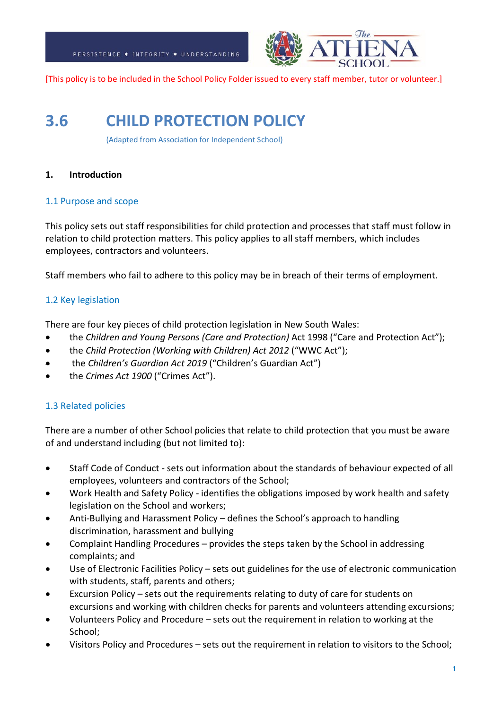

[This policy is to be included in the School Policy Folder issued to every staff member, tutor or volunteer.]

# **3.6 CHILD PROTECTION POLICY**

(Adapted from Association for Independent School)

## **1. Introduction**

## 1.1 Purpose and scope

This policy sets out staff responsibilities for child protection and processes that staff must follow in relation to child protection matters. This policy applies to all staff members, which includes employees, contractors and volunteers.

Staff members who fail to adhere to this policy may be in breach of their terms of employment.

## 1.2 Key legislation

There are four key pieces of child protection legislation in New South Wales:

- the *Children and Young Persons (Care and Protection)* Act 1998 ("Care and Protection Act");
- the *Child Protection (Working with Children) Act 2012* ("WWC Act");
- the *Children's Guardian Act 2019* ("Children's Guardian Act")
- the *Crimes Act 1900* ("Crimes Act").

## 1.3 Related policies

There are a number of other School policies that relate to child protection that you must be aware of and understand including (but not limited to):

- Staff Code of Conduct sets out information about the standards of behaviour expected of all employees, volunteers and contractors of the School;
- Work Health and Safety Policy identifies the obligations imposed by work health and safety legislation on the School and workers;
- Anti-Bullying and Harassment Policy defines the School's approach to handling discrimination, harassment and bullying
- Complaint Handling Procedures provides the steps taken by the School in addressing complaints; and
- Use of Electronic Facilities Policy sets out guidelines for the use of electronic communication with students, staff, parents and others;
- Excursion Policy sets out the requirements relating to duty of care for students on excursions and working with children checks for parents and volunteers attending excursions;
- Volunteers Policy and Procedure sets out the requirement in relation to working at the School;
- Visitors Policy and Procedures sets out the requirement in relation to visitors to the School;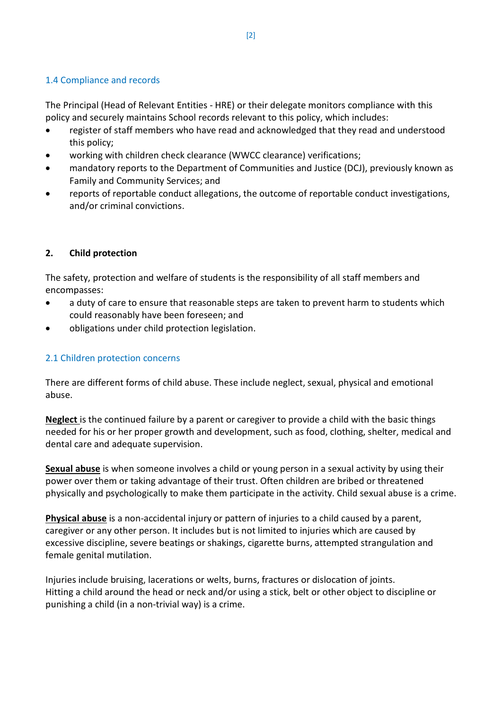## 1.4 Compliance and records

The Principal (Head of Relevant Entities - HRE) or their delegate monitors compliance with this policy and securely maintains School records relevant to this policy, which includes:

- register of staff members who have read and acknowledged that they read and understood this policy;
- working with children check clearance (WWCC clearance) verifications;
- mandatory reports to the Department of Communities and Justice (DCJ), previously known as Family and Community Services; and
- reports of reportable conduct allegations, the outcome of reportable conduct investigations, and/or criminal convictions.

## **2. Child protection**

The safety, protection and welfare of students is the responsibility of all staff members and encompasses:

- a duty of care to ensure that reasonable steps are taken to prevent harm to students which could reasonably have been foreseen; and
- obligations under child protection legislation.

## 2.1 Children protection concerns

There are different forms of child abuse. These include neglect, sexual, physical and emotional abuse.

**Neglect** is the continued failure by a parent or caregiver to provide a child with the basic things needed for his or her proper growth and development, such as food, clothing, shelter, medical and dental care and adequate supervision.

**Sexual abuse** is when someone involves a child or young person in a sexual activity by using their power over them or taking advantage of their trust. Often children are bribed or threatened physically and psychologically to make them participate in the activity. Child sexual abuse is a crime.

**Physical abuse** is a non-accidental injury or pattern of injuries to a child caused by a parent, caregiver or any other person. It includes but is not limited to injuries which are caused by excessive discipline, severe beatings or shakings, cigarette burns, attempted strangulation and female genital mutilation.

Injuries include bruising, lacerations or welts, burns, fractures or dislocation of joints. Hitting a child around the head or neck and/or using a stick, belt or other object to discipline or punishing a child (in a non-trivial way) is a crime.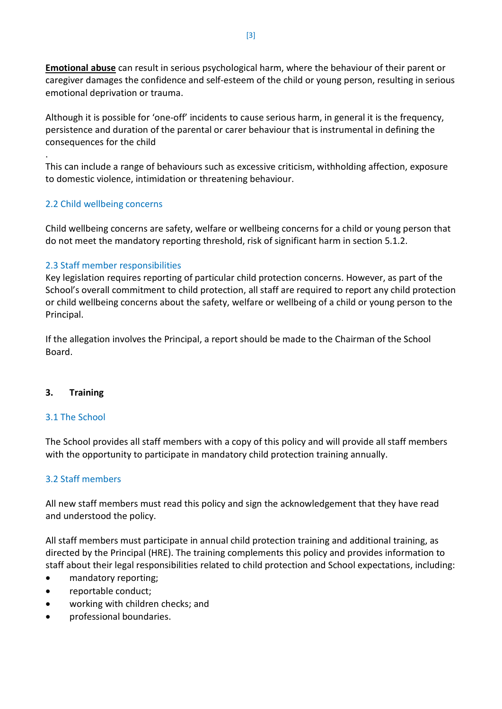**Emotional abuse** can result in serious psychological harm, where the behaviour of their parent or caregiver damages the confidence and self-esteem of the child or young person, resulting in serious emotional deprivation or trauma.

Although it is possible for 'one-off' incidents to cause serious harm, in general it is the frequency, persistence and duration of the parental or carer behaviour that is instrumental in defining the consequences for the child

This can include a range of behaviours such as excessive criticism, withholding affection, exposure to domestic violence, intimidation or threatening behaviour.

## 2.2 Child wellbeing concerns

.

Child wellbeing concerns are safety, welfare or wellbeing concerns for a child or young person that do not meet the mandatory reporting threshold, risk of significant harm in section 5.1.2.

## 2.3 Staff member responsibilities

Key legislation requires reporting of particular child protection concerns. However, as part of the School's overall commitment to child protection, all staff are required to report any child protection or child wellbeing concerns about the safety, welfare or wellbeing of a child or young person to the Principal.

If the allegation involves the Principal, a report should be made to the Chairman of the School Board.

## **3. Training**

## 3.1 The School

The School provides all staff members with a copy of this policy and will provide all staff members with the opportunity to participate in mandatory child protection training annually.

## 3.2 Staff members

All new staff members must read this policy and sign the acknowledgement that they have read and understood the policy.

All staff members must participate in annual child protection training and additional training, as directed by the Principal (HRE). The training complements this policy and provides information to staff about their legal responsibilities related to child protection and School expectations, including:

- mandatory reporting;
- reportable conduct;
- working with children checks; and
- professional boundaries.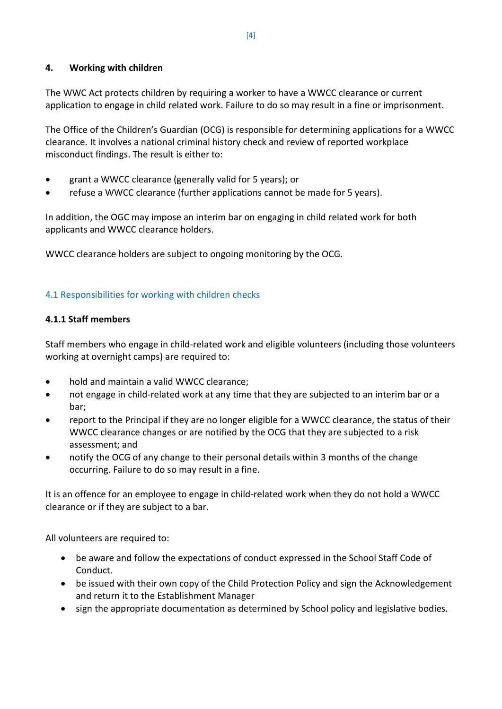## **4. Working with children**

The WWC Act protects children by requiring a worker to have a WWCC clearance or current application to engage in child related work. Failure to do so may result in a fine or imprisonment.

The Office of the Children's Guardian (OCG) is responsible for determining applications for a WWCC clearance. It involves a national criminal history check and review of reported workplace misconduct findings. The result is either to:

- grant a WWCC clearance (generally valid for 5 years); or
- refuse a WWCC clearance (further applications cannot be made for 5 years).

In addition, the OGC may impose an interim bar on engaging in child related work for both applicants and WWCC clearance holders.

WWCC clearance holders are subject to ongoing monitoring by the OCG.

## 4.1 Responsibilities for working with children checks

## **4.1.1 Staff members**

Staff members who engage in child-related work and eligible volunteers (including those volunteers working at overnight camps) are required to:

- hold and maintain a valid WWCC clearance;
- not engage in child-related work at any time that they are subjected to an interim bar or a bar;
- report to the Principal if they are no longer eligible for a WWCC clearance, the status of their WWCC clearance changes or are notified by the OCG that they are subjected to a risk assessment; and
- notify the OCG of any change to their personal details within 3 months of the change occurring. Failure to do so may result in a fine.

It is an offence for an employee to engage in child-related work when they do not hold a WWCC clearance or if they are subject to a bar.

All volunteers are required to:

- be aware and follow the expectations of conduct expressed in the School Staff Code of Conduct.
- be issued with their own copy of the Child Protection Policy and sign the Acknowledgement and return it to the Establishment Manager
- sign the appropriate documentation as determined by School policy and legislative bodies.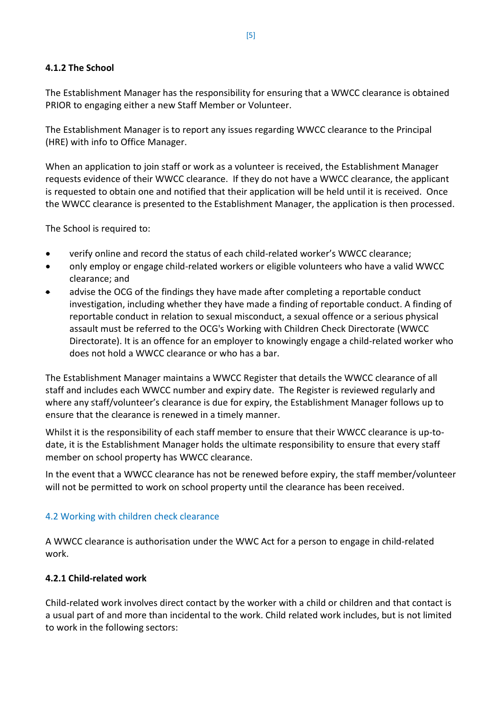## **4.1.2 The School**

The Establishment Manager has the responsibility for ensuring that a WWCC clearance is obtained PRIOR to engaging either a new Staff Member or Volunteer.

The Establishment Manager is to report any issues regarding WWCC clearance to the Principal (HRE) with info to Office Manager.

When an application to join staff or work as a volunteer is received, the Establishment Manager requests evidence of their WWCC clearance. If they do not have a WWCC clearance, the applicant is requested to obtain one and notified that their application will be held until it is received. Once the WWCC clearance is presented to the Establishment Manager, the application is then processed.

The School is required to:

- verify online and record the status of each child-related worker's WWCC clearance;
- only employ or engage child-related workers or eligible volunteers who have a valid WWCC clearance; and
- advise the OCG of the findings they have made after completing a reportable conduct investigation, including whether they have made a finding of reportable conduct. A finding of reportable conduct in relation to sexual misconduct, a sexual offence or a serious physical assault must be referred to the OCG's Working with Children Check Directorate (WWCC Directorate). It is an offence for an employer to knowingly engage a child-related worker who does not hold a WWCC clearance or who has a bar.

The Establishment Manager maintains a WWCC Register that details the WWCC clearance of all staff and includes each WWCC number and expiry date. The Register is reviewed regularly and where any staff/volunteer's clearance is due for expiry, the Establishment Manager follows up to ensure that the clearance is renewed in a timely manner.

Whilst it is the responsibility of each staff member to ensure that their WWCC clearance is up-todate, it is the Establishment Manager holds the ultimate responsibility to ensure that every staff member on school property has WWCC clearance.

In the event that a WWCC clearance has not be renewed before expiry, the staff member/volunteer will not be permitted to work on school property until the clearance has been received.

## 4.2 Working with children check clearance

A WWCC clearance is authorisation under the WWC Act for a person to engage in child-related work.

## **4.2.1 Child-related work**

Child-related work involves direct contact by the worker with a child or children and that contact is a usual part of and more than incidental to the work. Child related work includes, but is not limited to work in the following sectors: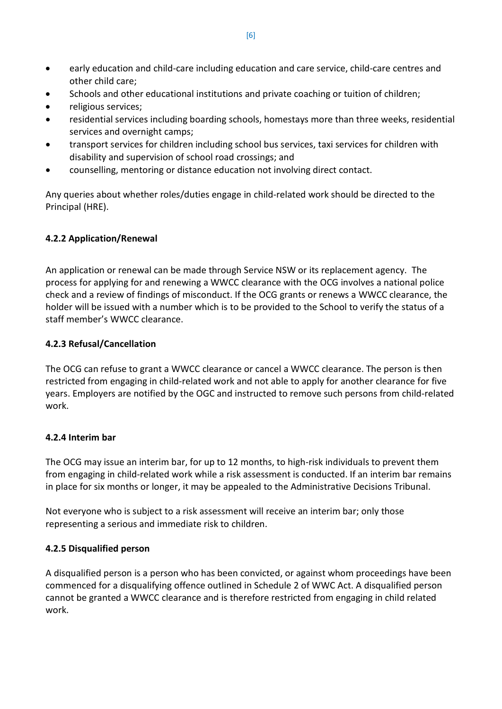- early education and child-care including education and care service, child-care centres and other child care;
- Schools and other educational institutions and private coaching or tuition of children;
- religious services;
- residential services including boarding schools, homestays more than three weeks, residential services and overnight camps;
- transport services for children including school bus services, taxi services for children with disability and supervision of school road crossings; and
- counselling, mentoring or distance education not involving direct contact.

Any queries about whether roles/duties engage in child-related work should be directed to the Principal (HRE).

## **4.2.2 Application/Renewal**

An application or renewal can be made through Service NSW or its replacement agency. The process for applying for and renewing a WWCC clearance with the OCG involves a national police check and a review of findings of misconduct. If the OCG grants or renews a WWCC clearance, the holder will be issued with a number which is to be provided to the School to verify the status of a staff member's WWCC clearance.

## **4.2.3 Refusal/Cancellation**

The OCG can refuse to grant a WWCC clearance or cancel a WWCC clearance. The person is then restricted from engaging in child-related work and not able to apply for another clearance for five years. Employers are notified by the OGC and instructed to remove such persons from child-related work.

## **4.2.4 Interim bar**

The OCG may issue an interim bar, for up to 12 months, to high-risk individuals to prevent them from engaging in child-related work while a risk assessment is conducted. If an interim bar remains in place for six months or longer, it may be appealed to the Administrative Decisions Tribunal.

Not everyone who is subject to a risk assessment will receive an interim bar; only those representing a serious and immediate risk to children.

## **4.2.5 Disqualified person**

A disqualified person is a person who has been convicted, or against whom proceedings have been commenced for a disqualifying offence outlined in Schedule 2 of WWC Act. A disqualified person cannot be granted a WWCC clearance and is therefore restricted from engaging in child related work.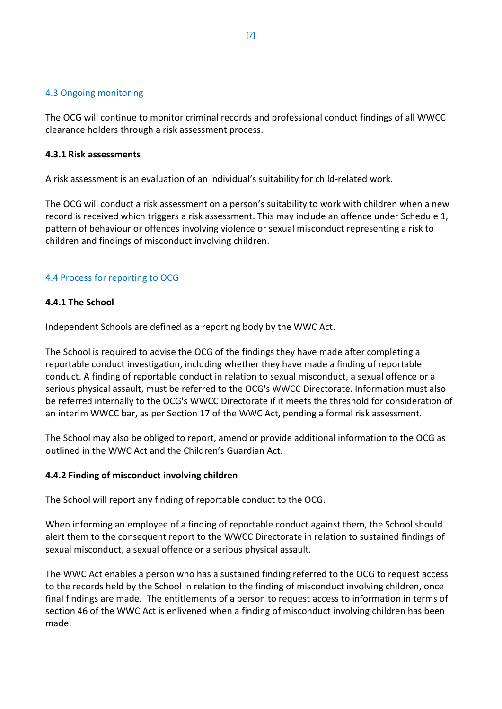## 4.3 Ongoing monitoring

The OCG will continue to monitor criminal records and professional conduct findings of all WWCC clearance holders through a risk assessment process.

## **4.3.1 Risk assessments**

A risk assessment is an evaluation of an individual's suitability for child-related work.

The OCG will conduct a risk assessment on a person's suitability to work with children when a new record is received which triggers a risk assessment. This may include an offence under Schedule 1, pattern of behaviour or offences involving violence or sexual misconduct representing a risk to children and findings of misconduct involving children.

## 4.4 Process for reporting to OCG

## **4.4.1 The School**

Independent Schools are defined as a reporting body by the WWC Act.

The School is required to advise the OCG of the findings they have made after completing a reportable conduct investigation, including whether they have made a finding of reportable conduct. A finding of reportable conduct in relation to sexual misconduct, a sexual offence or a serious physical assault, must be referred to the OCG's WWCC Directorate. Information must also be referred internally to the OCG's WWCC Directorate if it meets the threshold for consideration of an interim WWCC bar, as per Section 17 of the WWC Act, pending a formal risk assessment.

The School may also be obliged to report, amend or provide additional information to the OCG as outlined in the WWC Act and the Children's Guardian Act.

## **4.4.2 Finding of misconduct involving children**

The School will report any finding of reportable conduct to the OCG.

When informing an employee of a finding of reportable conduct against them, the School should alert them to the consequent report to the WWCC Directorate in relation to sustained findings of sexual misconduct, a sexual offence or a serious physical assault.

The WWC Act enables a person who has a sustained finding referred to the OCG to request access to the records held by the School in relation to the finding of misconduct involving children, once final findings are made. The entitlements of a person to request access to information in terms of section 46 of the WWC Act is enlivened when a finding of misconduct involving children has been made.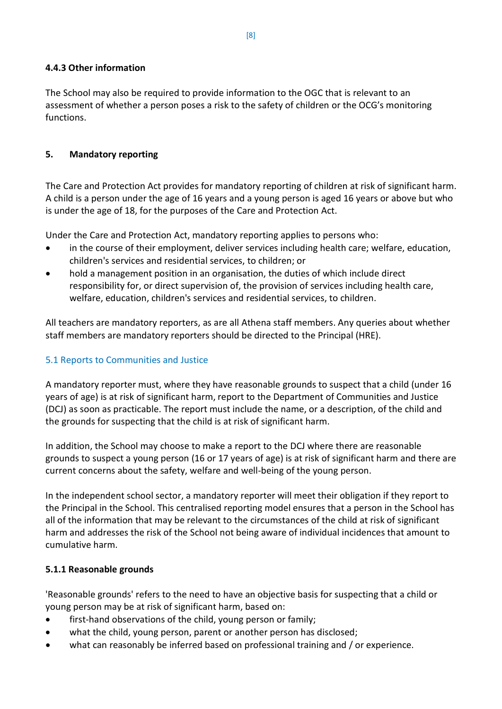## **4.4.3 Other information**

The School may also be required to provide information to the OGC that is relevant to an assessment of whether a person poses a risk to the safety of children or the OCG's monitoring functions.

## **5. Mandatory reporting**

The Care and Protection Act provides for mandatory reporting of children at risk of significant harm. A child is a person under the age of 16 years and a young person is aged 16 years or above but who is under the age of 18, for the purposes of the Care and Protection Act.

Under the Care and Protection Act, mandatory reporting applies to persons who:

- in the course of their employment, deliver services including health care; welfare, education, children's services and residential services, to children; or
- hold a management position in an organisation, the duties of which include direct responsibility for, or direct supervision of, the provision of services including health care, welfare, education, children's services and residential services, to children.

All teachers are mandatory reporters, as are all Athena staff members. Any queries about whether staff members are mandatory reporters should be directed to the Principal (HRE).

## 5.1 Reports to Communities and Justice

A mandatory reporter must, where they have reasonable grounds to suspect that a child (under 16 years of age) is at risk of significant harm, report to the Department of Communities and Justice (DCJ) as soon as practicable. The report must include the name, or a description, of the child and the grounds for suspecting that the child is at risk of significant harm.

In addition, the School may choose to make a report to the DCJ where there are reasonable grounds to suspect a young person (16 or 17 years of age) is at risk of significant harm and there are current concerns about the safety, welfare and well-being of the young person.

In the independent school sector, a mandatory reporter will meet their obligation if they report to the Principal in the School. This centralised reporting model ensures that a person in the School has all of the information that may be relevant to the circumstances of the child at risk of significant harm and addresses the risk of the School not being aware of individual incidences that amount to cumulative harm.

## **5.1.1 Reasonable grounds**

'Reasonable grounds' refers to the need to have an objective basis for suspecting that a child or young person may be at risk of significant harm, based on:

- first-hand observations of the child, young person or family;
- what the child, young person, parent or another person has disclosed;
- what can reasonably be inferred based on professional training and / or experience.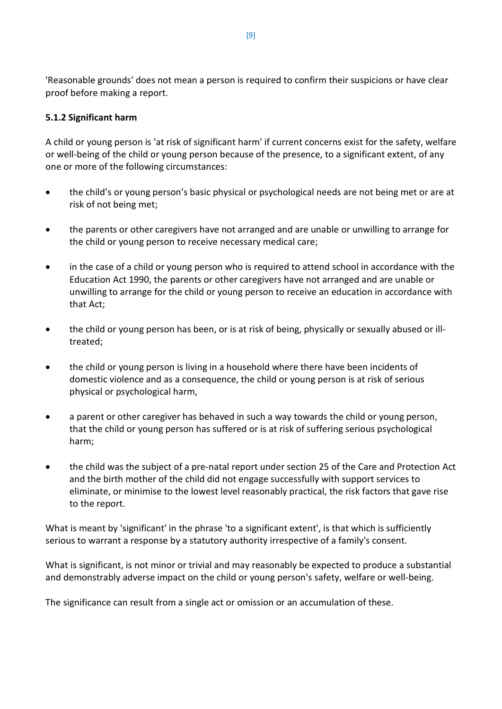'Reasonable grounds' does not mean a person is required to confirm their suspicions or have clear proof before making a report.

## **5.1.2 Significant harm**

A child or young person is 'at risk of significant harm' if current concerns exist for the safety, welfare or well-being of the child or young person because of the presence, to a significant extent, of any one or more of the following circumstances:

- the child's or young person's basic physical or psychological needs are not being met or are at risk of not being met;
- the parents or other caregivers have not arranged and are unable or unwilling to arrange for the child or young person to receive necessary medical care;
- in the case of a child or young person who is required to attend school in accordance with the Education Act 1990, the parents or other caregivers have not arranged and are unable or unwilling to arrange for the child or young person to receive an education in accordance with that Act;
- the child or young person has been, or is at risk of being, physically or sexually abused or illtreated;
- the child or young person is living in a household where there have been incidents of domestic violence and as a consequence, the child or young person is at risk of serious physical or psychological harm,
- a parent or other caregiver has behaved in such a way towards the child or young person, that the child or young person has suffered or is at risk of suffering serious psychological harm;
- the child was the subject of a pre-natal report under section 25 of the Care and Protection Act and the birth mother of the child did not engage successfully with support services to eliminate, or minimise to the lowest level reasonably practical, the risk factors that gave rise to the report.

What is meant by 'significant' in the phrase 'to a significant extent', is that which is sufficiently serious to warrant a response by a statutory authority irrespective of a family's consent.

What is significant, is not minor or trivial and may reasonably be expected to produce a substantial and demonstrably adverse impact on the child or young person's safety, welfare or well-being.

The significance can result from a single act or omission or an accumulation of these.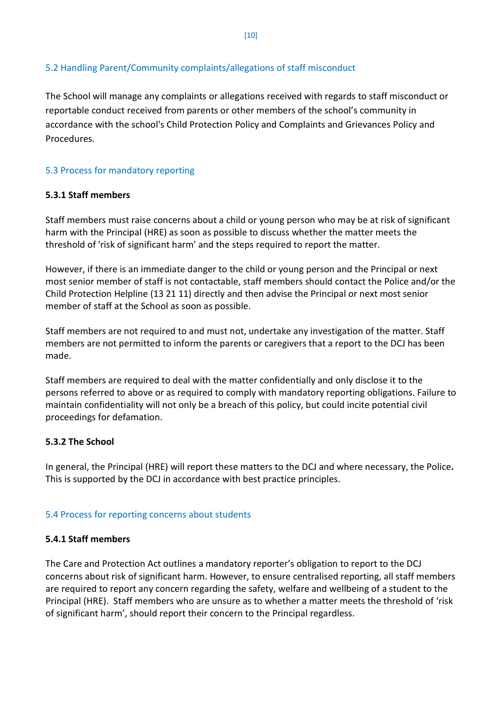## 5.2 Handling Parent/Community complaints/allegations of staff misconduct

The School will manage any complaints or allegations received with regards to staff misconduct or reportable conduct received from parents or other members of the school's community in accordance with the school's Child Protection Policy and Complaints and Grievances Policy and Procedures.

## 5.3 Process for mandatory reporting

## **5.3.1 Staff members**

Staff members must raise concerns about a child or young person who may be at risk of significant harm with the Principal (HRE) as soon as possible to discuss whether the matter meets the threshold of 'risk of significant harm' and the steps required to report the matter.

However, if there is an immediate danger to the child or young person and the Principal or next most senior member of staff is not contactable, staff members should contact the Police and/or the Child Protection Helpline (13 21 11) directly and then advise the Principal or next most senior member of staff at the School as soon as possible.

Staff members are not required to and must not, undertake any investigation of the matter. Staff members are not permitted to inform the parents or caregivers that a report to the DCJ has been made.

Staff members are required to deal with the matter confidentially and only disclose it to the persons referred to above or as required to comply with mandatory reporting obligations. Failure to maintain confidentiality will not only be a breach of this policy, but could incite potential civil proceedings for defamation.

## **5.3.2 The School**

In general, the Principal (HRE) will report these matters to the DCJ and where necessary, the Police**.**  This is supported by the DCJ in accordance with best practice principles.

## 5.4 Process for reporting concerns about students

## **5.4.1 Staff members**

The Care and Protection Act outlines a mandatory reporter's obligation to report to the DCJ concerns about risk of significant harm. However, to ensure centralised reporting, all staff members are required to report any concern regarding the safety, welfare and wellbeing of a student to the Principal (HRE). Staff members who are unsure as to whether a matter meets the threshold of 'risk of significant harm', should report their concern to the Principal regardless.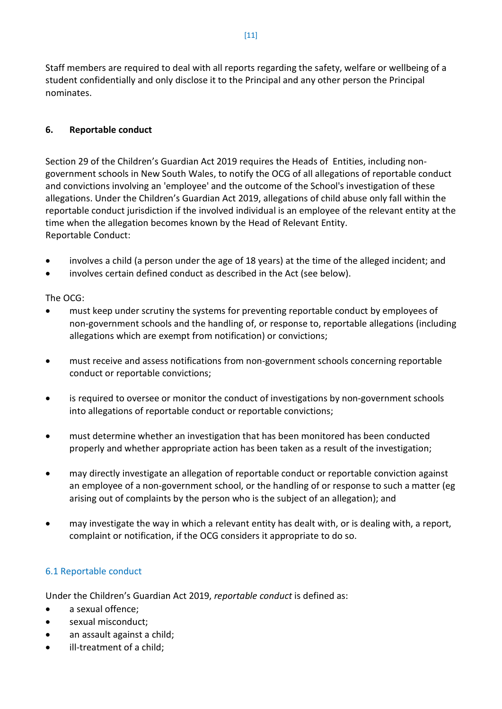Staff members are required to deal with all reports regarding the safety, welfare or wellbeing of a student confidentially and only disclose it to the Principal and any other person the Principal nominates.

## **6. Reportable conduct**

Section 29 of the Children's Guardian Act 2019 requires the Heads of Entities, including nongovernment schools in New South Wales, to notify the OCG of all allegations of reportable conduct and convictions involving an 'employee' and the outcome of the School's investigation of these allegations. Under the Children's Guardian Act 2019, allegations of child abuse only fall within the reportable conduct jurisdiction if the involved individual is an employee of the relevant entity at the time when the allegation becomes known by the Head of Relevant Entity. Reportable Conduct:

- involves a child (a person under the age of 18 years) at the time of the alleged incident; and
- involves certain defined conduct as described in the Act (see below).

The OCG:

- must keep under scrutiny the systems for preventing reportable conduct by employees of non-government schools and the handling of, or response to, reportable allegations (including allegations which are exempt from notification) or convictions;
- must receive and assess notifications from non-government schools concerning reportable conduct or reportable convictions;
- is required to oversee or monitor the conduct of investigations by non-government schools into allegations of reportable conduct or reportable convictions;
- must determine whether an investigation that has been monitored has been conducted properly and whether appropriate action has been taken as a result of the investigation;
- may directly investigate an allegation of reportable conduct or reportable conviction against an employee of a non-government school, or the handling of or response to such a matter (eg arising out of complaints by the person who is the subject of an allegation); and
- may investigate the way in which a relevant entity has dealt with, or is dealing with, a report, complaint or notification, if the OCG considers it appropriate to do so.

## 6.1 Reportable conduct

Under the Children's Guardian Act 2019, *reportable conduct* is defined as:

- a sexual offence;
- sexual misconduct;
- an assault against a child;
- ill-treatment of a child;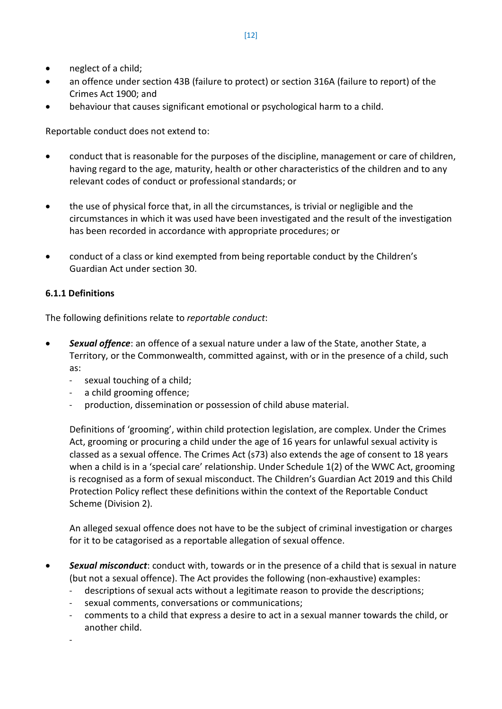- neglect of a child;
- an offence under section 43B (failure to protect) or section 316A (failure to report) of the Crimes Act 1900; and
- behaviour that causes significant emotional or psychological harm to a child.

Reportable conduct does not extend to:

- conduct that is reasonable for the purposes of the discipline, management or care of children, having regard to the age, maturity, health or other characteristics of the children and to any relevant codes of conduct or professional standards; or
- the use of physical force that, in all the circumstances, is trivial or negligible and the circumstances in which it was used have been investigated and the result of the investigation has been recorded in accordance with appropriate procedures; or
- conduct of a class or kind exempted from being reportable conduct by the Children's Guardian Act under section 30.

## **6.1.1 Definitions**

The following definitions relate to *reportable conduct*:

- *Sexual offence*: an offence of a sexual nature under a law of the State, another State, a Territory, or the Commonwealth, committed against, with or in the presence of a child, such as:
	- sexual touching of a child;
	- a child grooming offence;
	- production, dissemination or possession of child abuse material.

Definitions of 'grooming', within child protection legislation, are complex. Under the Crimes Act, grooming or procuring a child under the age of 16 years for unlawful sexual activity is classed as a sexual offence. The Crimes Act (s73) also extends the age of consent to 18 years when a child is in a 'special care' relationship. Under Schedule 1(2) of the WWC Act, grooming is recognised as a form of sexual misconduct. The Children's Guardian Act 2019 and this Child Protection Policy reflect these definitions within the context of the Reportable Conduct Scheme (Division 2).

An alleged sexual offence does not have to be the subject of criminal investigation or charges for it to be catagorised as a reportable allegation of sexual offence.

- *Sexual misconduct*: conduct with, towards or in the presence of a child that is sexual in nature (but not a sexual offence). The Act provides the following (non-exhaustive) examples:
	- descriptions of sexual acts without a legitimate reason to provide the descriptions;
	- sexual comments, conversations or communications;
	- comments to a child that express a desire to act in a sexual manner towards the child, or another child.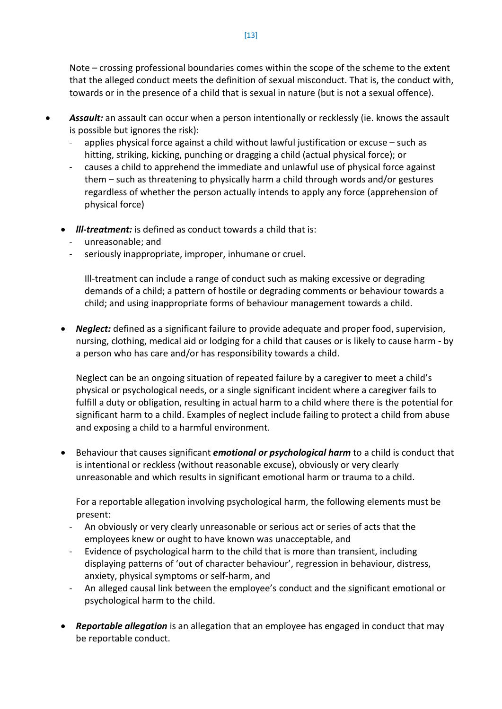Note – crossing professional boundaries comes within the scope of the scheme to the extent that the alleged conduct meets the definition of sexual misconduct. That is, the conduct with, towards or in the presence of a child that is sexual in nature (but is not a sexual offence).

- *Assault:* an assault can occur when a person intentionally or recklessly (ie. knows the assault is possible but ignores the risk):
	- applies physical force against a child without lawful justification or excuse such as hitting, striking, kicking, punching or dragging a child (actual physical force); or
	- causes a child to apprehend the immediate and unlawful use of physical force against them – such as threatening to physically harm a child through words and/or gestures regardless of whether the person actually intends to apply any force (apprehension of physical force)
	- *lll-treatment:* is defined as conduct towards a child that is:
		- unreasonable; and
		- seriously inappropriate, improper, inhumane or cruel.

Ill-treatment can include a range of conduct such as making excessive or degrading demands of a child; a pattern of hostile or degrading comments or behaviour towards a child; and using inappropriate forms of behaviour management towards a child.

• *Neglect:* defined as a significant failure to provide adequate and proper food, supervision, nursing, clothing, medical aid or lodging for a child that causes or is likely to cause harm - by a person who has care and/or has responsibility towards a child.

Neglect can be an ongoing situation of repeated failure by a caregiver to meet a child's physical or psychological needs, or a single significant incident where a caregiver fails to fulfill a duty or obligation, resulting in actual harm to a child where there is the potential for significant harm to a child. Examples of neglect include failing to protect a child from abuse and exposing a child to a harmful environment.

• Behaviour that causes significant *emotional or psychological harm* to a child is conduct that is intentional or reckless (without reasonable excuse), obviously or very clearly unreasonable and which results in significant emotional harm or trauma to a child.

For a reportable allegation involving psychological harm, the following elements must be present:

- An obviously or very clearly unreasonable or serious act or series of acts that the employees knew or ought to have known was unacceptable, and
- Evidence of psychological harm to the child that is more than transient, including displaying patterns of 'out of character behaviour', regression in behaviour, distress, anxiety, physical symptoms or self-harm, and
- An alleged causal link between the employee's conduct and the significant emotional or psychological harm to the child.
- *Reportable allegation* is an allegation that an employee has engaged in conduct that may be reportable conduct.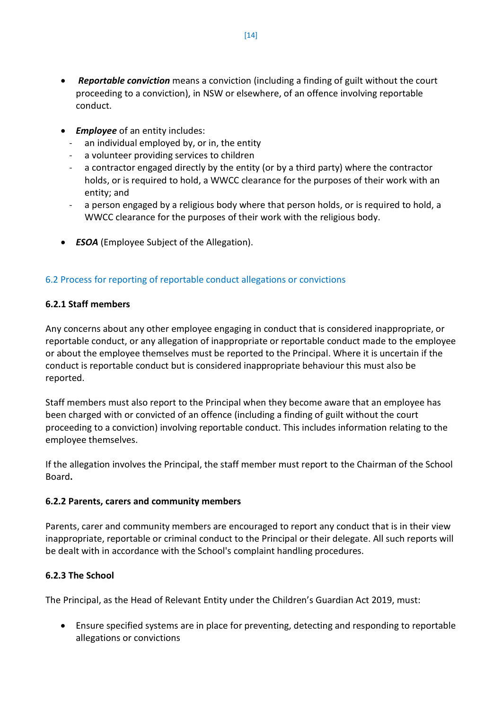- *Reportable conviction* means a conviction (including a finding of guilt without the court proceeding to a conviction), in NSW or elsewhere, of an offence involving reportable conduct.
- *Employee* of an entity includes:
	- an individual employed by, or in, the entity
	- a volunteer providing services to children
	- a contractor engaged directly by the entity (or by a third party) where the contractor holds, or is required to hold, a WWCC clearance for the purposes of their work with an entity; and
	- a person engaged by a religious body where that person holds, or is required to hold, a WWCC clearance for the purposes of their work with the religious body.
- *ESOA* (Employee Subject of the Allegation).

## 6.2 Process for reporting of reportable conduct allegations or convictions

## **6.2.1 Staff members**

Any concerns about any other employee engaging in conduct that is considered inappropriate, or reportable conduct, or any allegation of inappropriate or reportable conduct made to the employee or about the employee themselves must be reported to the Principal. Where it is uncertain if the conduct is reportable conduct but is considered inappropriate behaviour this must also be reported.

Staff members must also report to the Principal when they become aware that an employee has been charged with or convicted of an offence (including a finding of guilt without the court proceeding to a conviction) involving reportable conduct. This includes information relating to the employee themselves.

If the allegation involves the Principal, the staff member must report to the Chairman of the School Board**.** 

## **6.2.2 Parents, carers and community members**

Parents, carer and community members are encouraged to report any conduct that is in their view inappropriate, reportable or criminal conduct to the Principal or their delegate. All such reports will be dealt with in accordance with the School's complaint handling procedures.

## **6.2.3 The School**

The Principal, as the Head of Relevant Entity under the Children's Guardian Act 2019, must:

• Ensure specified systems are in place for preventing, detecting and responding to reportable allegations or convictions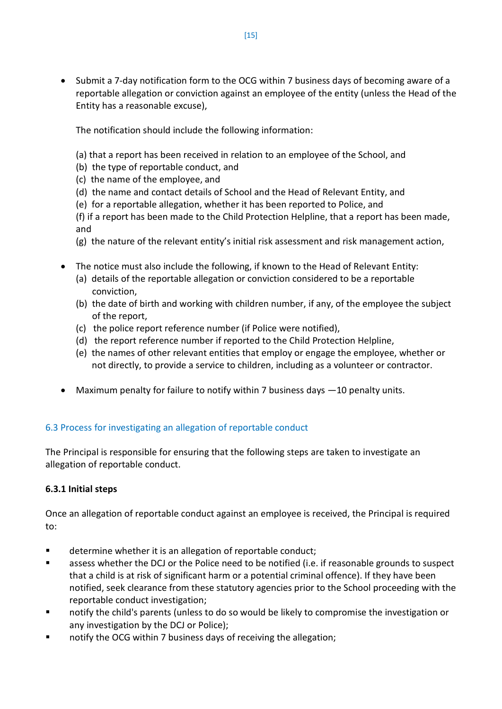• Submit a 7-day notification form to the OCG within 7 business days of becoming aware of a reportable allegation or conviction against an employee of the entity (unless the Head of the Entity has a reasonable excuse),

The notification should include the following information:

- (a) that a report has been received in relation to an employee of the School, and
- (b) the type of reportable conduct, and
- (c) the name of the employee, and
- (d) the name and contact details of School and the Head of Relevant Entity, and
- (e) for a reportable allegation, whether it has been reported to Police, and

(f) if a report has been made to the Child Protection Helpline, that a report has been made, and

- (g) the nature of the relevant entity's initial risk assessment and risk management action,
- The notice must also include the following, if known to the Head of Relevant Entity:
	- (a) details of the reportable allegation or conviction considered to be a reportable conviction,
	- (b) the date of birth and working with children number, if any, of the employee the subject of the report,
	- (c) the police report reference number (if Police were notified),
	- (d) the report reference number if reported to the Child Protection Helpline,
	- (e) the names of other relevant entities that employ or engage the employee, whether or not directly, to provide a service to children, including as a volunteer or contractor.
- Maximum penalty for failure to notify within 7 business days —10 penalty units.

## 6.3 Process for investigating an allegation of reportable conduct

The Principal is responsible for ensuring that the following steps are taken to investigate an allegation of reportable conduct.

## **6.3.1 Initial steps**

Once an allegation of reportable conduct against an employee is received, the Principal is required to:

- determine whether it is an allegation of reportable conduct;
- assess whether the DCJ or the Police need to be notified (i.e. if reasonable grounds to suspect that a child is at risk of significant harm or a potential criminal offence). If they have been notified, seek clearance from these statutory agencies prior to the School proceeding with the reportable conduct investigation;
- notify the child's parents (unless to do so would be likely to compromise the investigation or any investigation by the DCJ or Police);
- notify the OCG within 7 business days of receiving the allegation;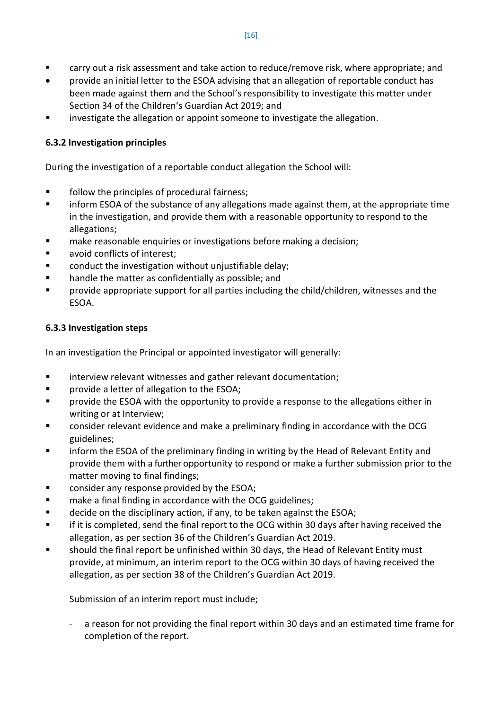- carry out a risk assessment and take action to reduce/remove risk, where appropriate; and
- provide an initial letter to the ESOA advising that an allegation of reportable conduct has been made against them and the School's responsibility to investigate this matter under Section 34 of the Children's Guardian Act 2019; and
- investigate the allegation or appoint someone to investigate the allegation.

## **6.3.2 Investigation principles**

During the investigation of a reportable conduct allegation the School will:

- follow the principles of procedural fairness;
- **EXECT** inform ESOA of the substance of any allegations made against them, at the appropriate time in the investigation, and provide them with a reasonable opportunity to respond to the allegations;
- make reasonable enquiries or investigations before making a decision;
- **avoid conflicts of interest;**
- **EXEDENT** conduct the investigation without unjustifiable delay;
- handle the matter as confidentially as possible; and
- provide appropriate support for all parties including the child/children, witnesses and the ESOA.

## **6.3.3 Investigation steps**

In an investigation the Principal or appointed investigator will generally:

- **EXECT** interview relevant witnesses and gather relevant documentation;
- **Part EV and ST ESS** provide a letter of allegation to the ESOA;
- provide the ESOA with the opportunity to provide a response to the allegations either in writing or at Interview;
- consider relevant evidence and make a preliminary finding in accordance with the OCG guidelines;
- **EXECT** inform the ESOA of the preliminary finding in writing by the Head of Relevant Entity and provide them with a further opportunity to respond or make a further submission prior to the matter moving to final findings;
- **EXECONS** consider any response provided by the ESOA;
- **EXECUTE:** make a final finding in accordance with the OCG guidelines;
- **decide on the disciplinary action, if any, to be taken against the ESOA;**
- if it is completed, send the final report to the OCG within 30 days after having received the allegation, as per section 36 of the Children's Guardian Act 2019.
- should the final report be unfinished within 30 days, the Head of Relevant Entity must provide, at minimum, an interim report to the OCG within 30 days of having received the allegation, as per section 38 of the Children's Guardian Act 2019.

Submission of an interim report must include;

a reason for not providing the final report within 30 days and an estimated time frame for completion of the report.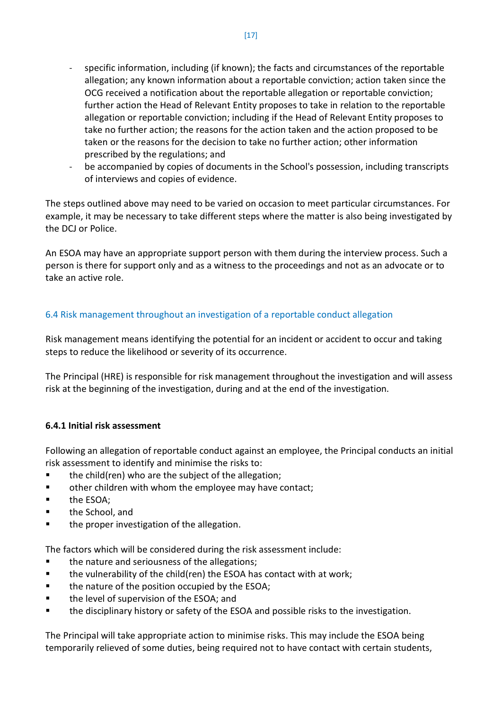- specific information, including (if known); the facts and circumstances of the reportable allegation; any known information about a reportable conviction; action taken since the OCG received a notification about the reportable allegation or reportable conviction; further action the Head of Relevant Entity proposes to take in relation to the reportable allegation or reportable conviction; including if the Head of Relevant Entity proposes to take no further action; the reasons for the action taken and the action proposed to be taken or the reasons for the decision to take no further action; other information prescribed by the regulations; and
- be accompanied by copies of documents in the School's possession, including transcripts of interviews and copies of evidence.

The steps outlined above may need to be varied on occasion to meet particular circumstances. For example, it may be necessary to take different steps where the matter is also being investigated by the DCJ or Police.

An ESOA may have an appropriate support person with them during the interview process. Such a person is there for support only and as a witness to the proceedings and not as an advocate or to take an active role.

## 6.4 Risk management throughout an investigation of a reportable conduct allegation

Risk management means identifying the potential for an incident or accident to occur and taking steps to reduce the likelihood or severity of its occurrence.

The Principal (HRE) is responsible for risk management throughout the investigation and will assess risk at the beginning of the investigation, during and at the end of the investigation.

## **6.4.1 Initial risk assessment**

Following an allegation of reportable conduct against an employee, the Principal conducts an initial risk assessment to identify and minimise the risks to:

- **the child(ren) who are the subject of the allegation;**
- **•** other children with whom the employee may have contact;
- **the ESOA;**
- **the School, and**
- **the proper investigation of the allegation.**

The factors which will be considered during the risk assessment include:

- the nature and seriousness of the allegations;
- $\blacksquare$  the vulnerability of the child(ren) the ESOA has contact with at work;
- the nature of the position occupied by the ESOA;
- the level of supervision of the ESOA; and
- the disciplinary history or safety of the ESOA and possible risks to the investigation.

The Principal will take appropriate action to minimise risks. This may include the ESOA being temporarily relieved of some duties, being required not to have contact with certain students,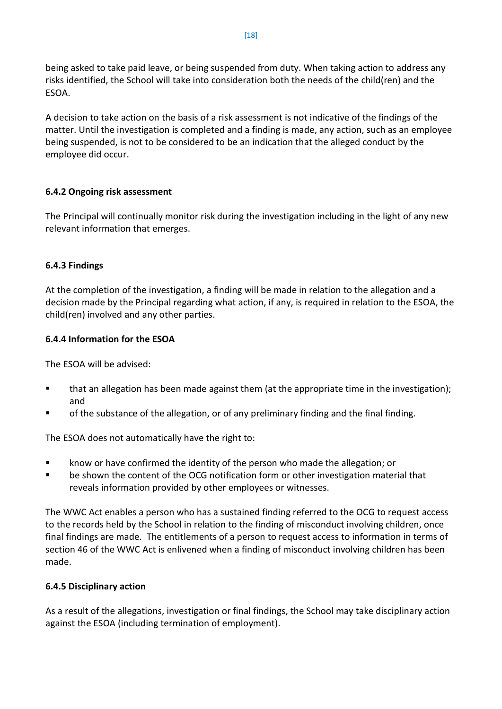being asked to take paid leave, or being suspended from duty. When taking action to address any risks identified, the School will take into consideration both the needs of the child(ren) and the ESOA.

A decision to take action on the basis of a risk assessment is not indicative of the findings of the matter. Until the investigation is completed and a finding is made, any action, such as an employee being suspended, is not to be considered to be an indication that the alleged conduct by the employee did occur.

## **6.4.2 Ongoing risk assessment**

The Principal will continually monitor risk during the investigation including in the light of any new relevant information that emerges.

## **6.4.3 Findings**

At the completion of the investigation, a finding will be made in relation to the allegation and a decision made by the Principal regarding what action, if any, is required in relation to the ESOA, the child(ren) involved and any other parties.

## **6.4.4 Information for the ESOA**

The ESOA will be advised:

- **that an allegation has been made against them (at the appropriate time in the investigation);** and
- of the substance of the allegation, or of any preliminary finding and the final finding.

The ESOA does not automatically have the right to:

- **EXED** know or have confirmed the identity of the person who made the allegation; or
- be shown the content of the OCG notification form or other investigation material that reveals information provided by other employees or witnesses.

The WWC Act enables a person who has a sustained finding referred to the OCG to request access to the records held by the School in relation to the finding of misconduct involving children, once final findings are made. The entitlements of a person to request access to information in terms of section 46 of the WWC Act is enlivened when a finding of misconduct involving children has been made.

## **6.4.5 Disciplinary action**

As a result of the allegations, investigation or final findings, the School may take disciplinary action against the ESOA (including termination of employment).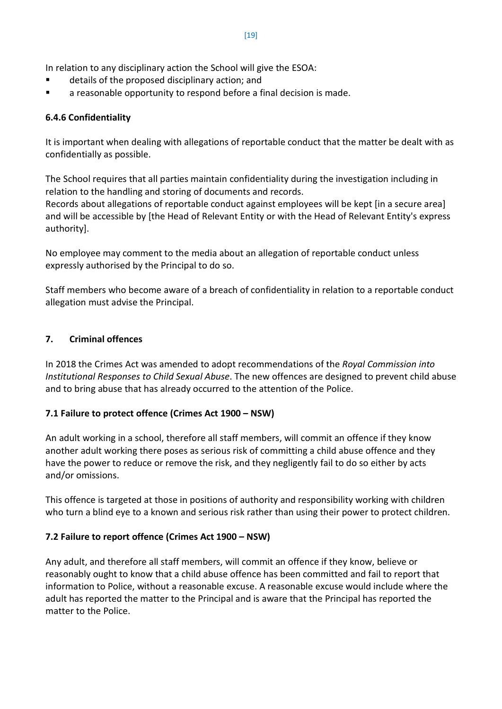In relation to any disciplinary action the School will give the ESOA:

- details of the proposed disciplinary action; and
- a reasonable opportunity to respond before a final decision is made.

## **6.4.6 Confidentiality**

It is important when dealing with allegations of reportable conduct that the matter be dealt with as confidentially as possible.

The School requires that all parties maintain confidentiality during the investigation including in relation to the handling and storing of documents and records.

Records about allegations of reportable conduct against employees will be kept [in a secure area] and will be accessible by [the Head of Relevant Entity or with the Head of Relevant Entity's express authority].

No employee may comment to the media about an allegation of reportable conduct unless expressly authorised by the Principal to do so.

Staff members who become aware of a breach of confidentiality in relation to a reportable conduct allegation must advise the Principal.

## **7. Criminal offences**

In 2018 the Crimes Act was amended to adopt recommendations of the *Royal Commission into Institutional Responses to Child Sexual Abuse*. The new offences are designed to prevent child abuse and to bring abuse that has already occurred to the attention of the Police.

## **7.1 Failure to protect offence (Crimes Act 1900 – NSW)**

An adult working in a school, therefore all staff members, will commit an offence if they know another adult working there poses as serious risk of committing a child abuse offence and they have the power to reduce or remove the risk, and they negligently fail to do so either by acts and/or omissions.

This offence is targeted at those in positions of authority and responsibility working with children who turn a blind eye to a known and serious risk rather than using their power to protect children.

## **7.2 Failure to report offence (Crimes Act 1900 – NSW)**

Any adult, and therefore all staff members, will commit an offence if they know, believe or reasonably ought to know that a child abuse offence has been committed and fail to report that information to Police, without a reasonable excuse. A reasonable excuse would include where the adult has reported the matter to the Principal and is aware that the Principal has reported the matter to the Police.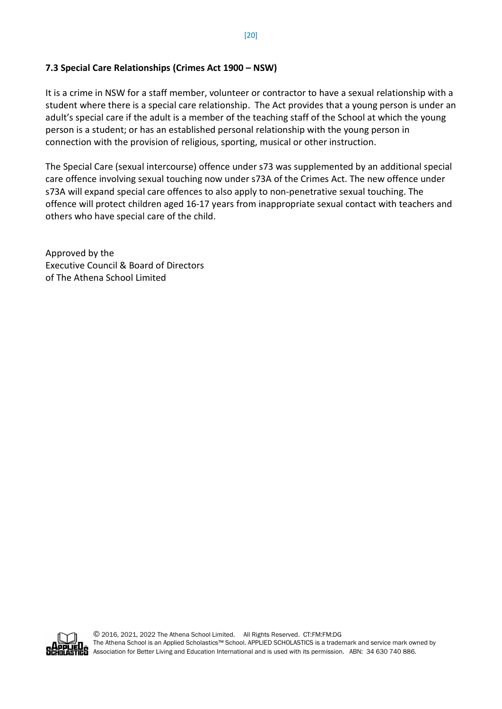## **7.3 Special Care Relationships (Crimes Act 1900 – NSW)**

It is a crime in NSW for a staff member, volunteer or contractor to have a sexual relationship with a student where there is a special care relationship. The Act provides that a young person is under an adult's special care if the adult is a member of the teaching staff of the School at which the young person is a student; or has an established personal relationship with the young person in connection with the provision of religious, sporting, musical or other instruction.

The Special Care (sexual intercourse) offence under s73 was supplemented by an additional special care offence involving sexual touching now under s73A of the Crimes Act. The new offence under s73A will expand special care offences to also apply to non-penetrative sexual touching. The offence will protect children aged 16-17 years from inappropriate sexual contact with teachers and others who have special care of the child.

Approved by the Executive Council & Board of Directors of The Athena School Limited



© 2016, 2021, 2022 The Athena School Limited. All Rights Reserved. CT:FM:FM:DG The Athena School is an Applied Scholastics™ School. APPLIED SCHOLASTICS is a trademark and service mark owned by HES Association for Better Living and Education International and is used with its permission. ABN: 34 630 740 886.